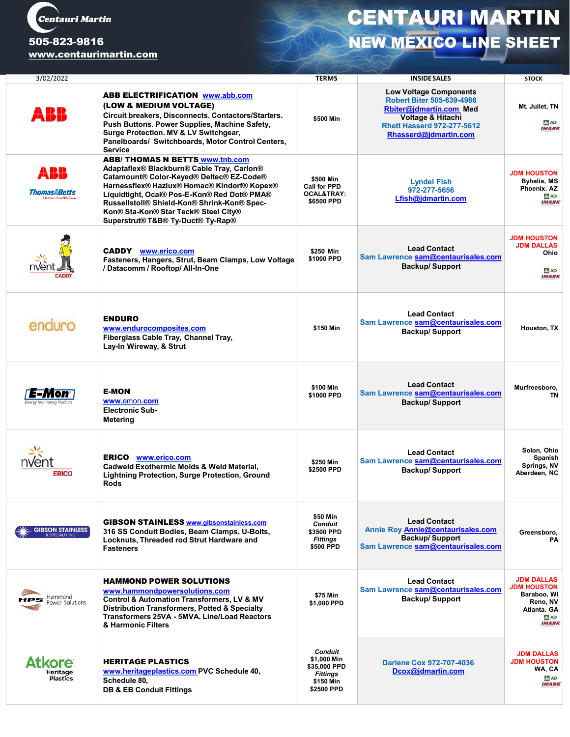

## [www.centaurimartin.com](http://www.centaurimartin.com/)

## CENTAURI MARTIN 505-823-9816 **NEW MEXICO LINE SHEET**

| 3/02/2022                         |                                                                                                                                                                                                                                                                                                                                                            | <b>TERMS</b>                                                                                | <b>INSIDE SALES</b>                                                                                                                                                                        | <b>STOCK</b>                                                                                              |
|-----------------------------------|------------------------------------------------------------------------------------------------------------------------------------------------------------------------------------------------------------------------------------------------------------------------------------------------------------------------------------------------------------|---------------------------------------------------------------------------------------------|--------------------------------------------------------------------------------------------------------------------------------------------------------------------------------------------|-----------------------------------------------------------------------------------------------------------|
| ABB                               | <b>ABB ELECTRIFICATION www.abb.com</b><br>(LOW & MEDIUM VOLTAGE)<br>Circuit breakers, Disconnects. Contactors/Starters.<br>Push Buttons. Power Supplies, Machine Safety,<br>Surge Protection. MV & LV Switchgear,<br>Panelboards/ Switchboards, Motor Control Centers,<br><b>Service</b>                                                                   | \$500 Min                                                                                   | <b>Low Voltage Components</b><br><b>Robert Biter 505-639-4986</b><br>Rbiter@jdmartin.com Med<br><b>Voltage &amp; Hitachi</b><br><b>Rhett Hasserd 972-277-5612</b><br>Rhasserd@jdmartin.com | Mt. Juliet, TN<br>A AD<br><b>IMARK</b>                                                                    |
| ABB<br>momasabetts                | <b>ABB/ THOMAS N BETTS www.tnb.com</b><br>Adaptaflex® Blackburn® Cable Tray, Carlon®<br>Catamount® Color-Keyed® Deltec® EZ-Code®<br>Harnessflex® Hazlux® Homac® Kindorf® Kopex®<br>Liquidtight, Ocal® Pos-E-Kon® Red Dot® PMA®<br>Russellstoll® Shield-Kon® Shrink-Kon® Spec-<br>Kon® Sta-Kon® Star Teck® Steel City®<br>Superstrut® T&B® Ty-Duct® Ty-Rap® | \$500 Min<br><b>Call for PPD</b><br><b>OCAL&amp;TRAY:</b><br>\$6500 PPD                     | <b>Lyndel Fish</b><br>972-277-5656<br>Lfish@jdmartin.com                                                                                                                                   | <b>JDM HOUSTON</b><br><b>Byhalia, MS</b><br>Phoenix. AZ<br><b>A</b> AD<br><b>IMARK</b>                    |
|                                   | <b>CADDY</b> www.erico.com<br>Fasteners, Hangers, Strut, Beam Clamps, Low Voltage<br>/ Datacomm / Rooftop/ All-In-One                                                                                                                                                                                                                                      | \$250 Min<br>\$1000 PPD                                                                     | <b>Lead Contact</b><br>Sam Lawrence sam@centaurisales.com<br><b>Backup/Support</b>                                                                                                         | <b>JDM HOUSTON</b><br><b>JDM DALLAS</b><br>Ohio<br>A AD<br><b>IMARK</b>                                   |
| enduro                            | <b>ENDURO</b><br>www.endurocomposites.com<br>Fiberglass Cable Tray, Channel Tray,<br>Lay-In Wireway, & Strut                                                                                                                                                                                                                                               | \$150 Min                                                                                   | <b>Lead Contact</b><br>Sam Lawrence sam@centaurisales.com<br><b>Backup/Support</b>                                                                                                         | Houston, TX                                                                                               |
|                                   | <b>E-MON</b><br>www.emon.com<br><b>Electronic Sub-</b><br>Metering                                                                                                                                                                                                                                                                                         | \$100 Min<br>\$1000 PPD                                                                     | <b>Lead Contact</b><br>Sam Lawrence sam@centaurisales.com<br><b>Backup/Support</b>                                                                                                         | Murfreesboro,<br>TN                                                                                       |
| <b>ERICO</b>                      | <b>ERICO</b><br>www.erico.com<br>Cadweld Exothermic Molds & Weld Material,<br><b>Lightning Protection, Surge Protection, Ground</b><br>ROOS                                                                                                                                                                                                                | \$250 Min<br>\$2500 PPD                                                                     | <b>Lead Contact</b><br>Sam Lawrence sam@centaurisales.com<br><b>Backup/Support</b>                                                                                                         | Solon, Ohio<br>Spanish<br>Springs, NV<br>Aberdeen, NC                                                     |
| <b>GIBSON STAINLESS</b>           | <b>GIBSON STAINLESS www.gibsonstainless.com</b><br>316 SS Conduit Bodies, Beam Clamps, U-Bolts,<br>Locknuts. Threaded rod Strut Hardware and<br><b>Fasteners</b>                                                                                                                                                                                           | \$50 Min<br><b>Conduit</b><br>\$3500 PPD<br><b>Fittings</b><br>\$500 PPD                    | <b>Lead Contact</b><br>Annie Roy Annie@centaurisales.com<br><b>Backup/Support</b><br>Sam Lawrence sam@centaurisales.com                                                                    | Greensboro,<br>PA                                                                                         |
| <b>Hammond</b><br>Power Solutions | <b>HAMMOND POWER SOLUTIONS</b><br>www.hammondpowersolutions.com<br><b>Control &amp; Automation Transformers, LV &amp; MV</b><br><b>Distribution Transformers, Potted &amp; Specialty</b><br>Transformers 25VA - 5MVA. Line/Load Reactors<br>& Harmonic Filters                                                                                             | \$75 Min<br>\$1.000 PPD                                                                     | <b>Lead Contact</b><br>Sam Lawrence sam@centaurisales.com<br><b>Backup/Support</b>                                                                                                         | <b>JDM DALLAS</b><br><b>JDM HOUSTON</b><br>Baraboo, WI<br>Reno, NV<br>Atlanta, GA<br>A AD<br><b>IMARK</b> |
| Atkore<br>Heritage<br>Plastics    | <b>HERITAGE PLASTICS</b><br>www.heritageplastics.com PVC Schedule 40,<br>Schedule 80,<br><b>DB &amp; EB Conduit Fittings</b>                                                                                                                                                                                                                               | <b>Conduit</b><br>\$1,000 Min<br>\$35,000 PPD<br><b>Fittings</b><br>\$150 Min<br>\$2500 PPD | <b>Darlene Cox 972-707-4036</b><br>Dcox@jdmartin.com                                                                                                                                       | <b>JDM DALLAS</b><br><b>JDM HOUSTON</b><br>WA, CA<br>A AD<br><b>IMARK</b>                                 |